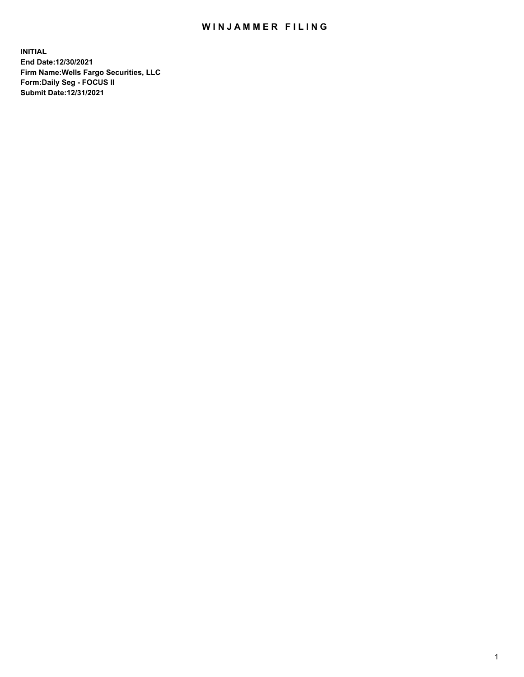## WIN JAMMER FILING

**INITIAL End Date:12/30/2021 Firm Name:Wells Fargo Securities, LLC Form:Daily Seg - FOCUS II Submit Date:12/31/2021**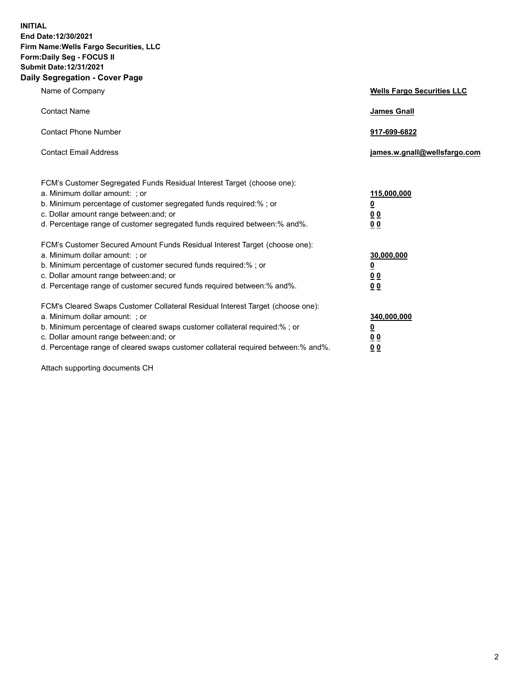**INITIAL End Date:12/30/2021 Firm Name:Wells Fargo Securities, LLC Form:Daily Seg - FOCUS II Submit Date:12/31/2021 Daily Segregation - Cover Page**

| Name of Company                                                                                                                                                                                                                                                                                                                | <b>Wells Fargo Securities LLC</b>                          |
|--------------------------------------------------------------------------------------------------------------------------------------------------------------------------------------------------------------------------------------------------------------------------------------------------------------------------------|------------------------------------------------------------|
| <b>Contact Name</b>                                                                                                                                                                                                                                                                                                            | <b>James Gnall</b>                                         |
| <b>Contact Phone Number</b>                                                                                                                                                                                                                                                                                                    | 917-699-6822                                               |
| <b>Contact Email Address</b>                                                                                                                                                                                                                                                                                                   | james.w.gnall@wellsfargo.com                               |
| FCM's Customer Segregated Funds Residual Interest Target (choose one):<br>a. Minimum dollar amount: ; or<br>b. Minimum percentage of customer segregated funds required:% ; or<br>c. Dollar amount range between: and; or<br>d. Percentage range of customer segregated funds required between: % and %.                       | 115,000,000<br><u>0</u><br><u>00</u><br>0 <sub>0</sub>     |
| FCM's Customer Secured Amount Funds Residual Interest Target (choose one):<br>a. Minimum dollar amount: ; or<br>b. Minimum percentage of customer secured funds required:% ; or<br>c. Dollar amount range between: and; or<br>d. Percentage range of customer secured funds required between: % and %.                         | 30,000,000<br><u>0</u><br>0 <sub>0</sub><br>0 <sub>0</sub> |
| FCM's Cleared Swaps Customer Collateral Residual Interest Target (choose one):<br>a. Minimum dollar amount: ; or<br>b. Minimum percentage of cleared swaps customer collateral required:% ; or<br>c. Dollar amount range between: and; or<br>d. Percentage range of cleared swaps customer collateral required between:% and%. | 340,000,000<br><u>0</u><br>00<br><u>00</u>                 |

Attach supporting documents CH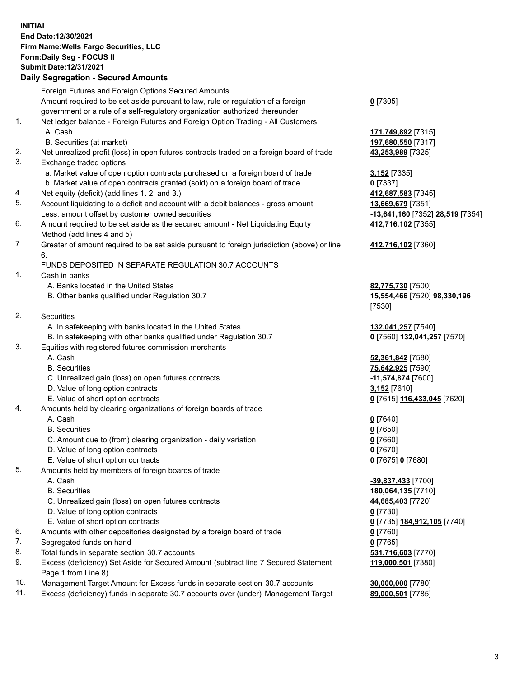**INITIAL End Date:12/30/2021 Firm Name:Wells Fargo Securities, LLC Form:Daily Seg - FOCUS II Submit Date:12/31/2021**

## **Daily Segregation - Secured Amounts**

|     | Foreign Futures and Foreign Options Secured Amounts                                                        |                                  |
|-----|------------------------------------------------------------------------------------------------------------|----------------------------------|
|     | Amount required to be set aside pursuant to law, rule or regulation of a foreign                           | $0$ [7305]                       |
|     | government or a rule of a self-regulatory organization authorized thereunder                               |                                  |
| 1.  | Net ledger balance - Foreign Futures and Foreign Option Trading - All Customers                            |                                  |
|     | A. Cash                                                                                                    | 171,749,892 [7315]               |
|     | B. Securities (at market)                                                                                  | 197,680,550 [7317]               |
| 2.  | Net unrealized profit (loss) in open futures contracts traded on a foreign board of trade                  | 43,253,989 [7325]                |
| 3.  | Exchange traded options                                                                                    |                                  |
|     | a. Market value of open option contracts purchased on a foreign board of trade                             | 3,152 [7335]                     |
|     | b. Market value of open contracts granted (sold) on a foreign board of trade                               | $0$ [7337]                       |
| 4.  | Net equity (deficit) (add lines 1. 2. and 3.)                                                              | 412,687,583 [7345]               |
| 5.  | Account liquidating to a deficit and account with a debit balances - gross amount                          | 13,669,679 [7351]                |
|     | Less: amount offset by customer owned securities                                                           | -13,641,160 [7352] 28,519 [7354] |
| 6.  | Amount required to be set aside as the secured amount - Net Liquidating Equity                             | 412,716,102 [7355]               |
|     | Method (add lines 4 and 5)                                                                                 |                                  |
| 7.  | Greater of amount required to be set aside pursuant to foreign jurisdiction (above) or line                | 412,716,102 [7360]               |
|     | 6.                                                                                                         |                                  |
|     | FUNDS DEPOSITED IN SEPARATE REGULATION 30.7 ACCOUNTS                                                       |                                  |
| 1.  | Cash in banks                                                                                              |                                  |
|     | A. Banks located in the United States                                                                      | 82,775,730 [7500]                |
|     | B. Other banks qualified under Regulation 30.7                                                             | 15,554,466 [7520] 98,330,196     |
|     |                                                                                                            | [7530]                           |
| 2.  | Securities                                                                                                 |                                  |
|     | A. In safekeeping with banks located in the United States                                                  | 132,041,257 [7540]               |
|     | B. In safekeeping with other banks qualified under Regulation 30.7                                         | 0 [7560] 132,041,257 [7570]      |
| 3.  | Equities with registered futures commission merchants                                                      |                                  |
|     | A. Cash                                                                                                    | 52,361,842 [7580]                |
|     | <b>B.</b> Securities                                                                                       | 75,642,925 [7590]                |
|     | C. Unrealized gain (loss) on open futures contracts                                                        | -11,574,874 [7600]               |
|     | D. Value of long option contracts                                                                          | 3,152 [7610]                     |
|     | E. Value of short option contracts                                                                         | 0 [7615] 116,433,045 [7620]      |
| 4.  | Amounts held by clearing organizations of foreign boards of trade                                          |                                  |
|     | A. Cash                                                                                                    | $0$ [7640]                       |
|     | <b>B.</b> Securities                                                                                       | $0$ [7650]                       |
|     | C. Amount due to (from) clearing organization - daily variation                                            | $0$ [7660]                       |
|     | D. Value of long option contracts                                                                          | $0$ [7670]                       |
|     | E. Value of short option contracts                                                                         | 0 [7675] 0 [7680]                |
| 5.  | Amounts held by members of foreign boards of trade                                                         |                                  |
|     | A. Cash                                                                                                    | -39,837,433 [7700]               |
|     | <b>B.</b> Securities                                                                                       | 180,064,135 [7710]               |
|     | C. Unrealized gain (loss) on open futures contracts                                                        | 44,685,403 [7720]                |
|     | D. Value of long option contracts                                                                          | $0$ [7730]                       |
|     | E. Value of short option contracts                                                                         | 0 [7735] 184,912,105 [7740]      |
| 6.  | Amounts with other depositories designated by a foreign board of trade                                     | $0$ [7760]                       |
| 7.  | Segregated funds on hand                                                                                   | $0$ [7765]                       |
| 8.  | Total funds in separate section 30.7 accounts                                                              | 531,716,603 [7770]               |
| 9.  | Excess (deficiency) Set Aside for Secured Amount (subtract line 7 Secured Statement<br>Page 1 from Line 8) | 119,000,501 [7380]               |
| 10. | Management Target Amount for Excess funds in separate section 30.7 accounts                                | 30,000,000 [7780]                |
|     |                                                                                                            |                                  |

11. Excess (deficiency) funds in separate 30.7 accounts over (under) Management Target **89,000,501** [7785]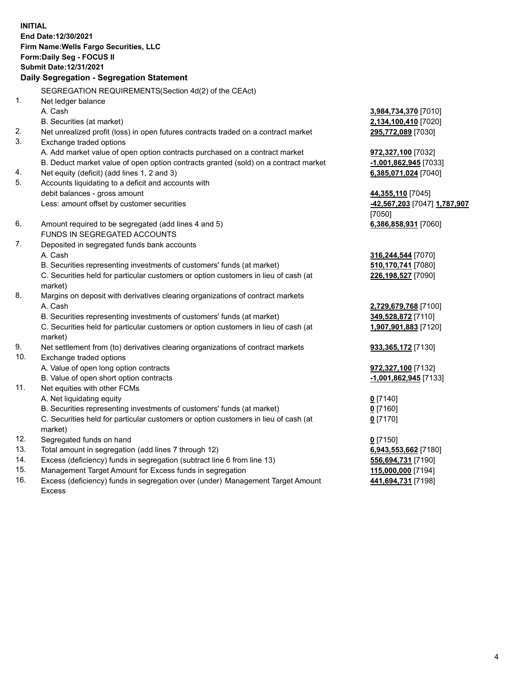**INITIAL End Date:12/30/2021 Firm Name:Wells Fargo Securities, LLC Form:Daily Seg - FOCUS II Submit Date:12/31/2021 Daily Segregation - Segregation Statement** SEGREGATION REQUIREMENTS(Section 4d(2) of the CEAct) 1. Net ledger balance A. Cash **3,984,734,370** [7010] B. Securities (at market) **2,134,100,410** [7020] 2. Net unrealized profit (loss) in open futures contracts traded on a contract market **295,772,089** [7030] 3. Exchange traded options

- A. Add market value of open option contracts purchased on a contract market **972,327,100** [7032] B. Deduct market value of open option contracts granted (sold) on a contract market **-1,001,862,945** [7033] 4. Net equity (deficit) (add lines 1, 2 and 3) **6,385,071,024** [7040] 5. Accounts liquidating to a deficit and accounts with debit balances - gross amount **44,355,110** [7045] Less: amount offset by customer securities **-42,567,203** [7047] **1,787,907** 6. Amount required to be segregated (add lines 4 and 5) **6,386,858,931** [7060] FUNDS IN SEGREGATED ACCOUNTS 7. Deposited in segregated funds bank accounts A. Cash **316,244,544** [7070]
	- B. Securities representing investments of customers' funds (at market) **510**

C. Securities held for particular customers or option customers in lieu of cash (at market)

- 8. Margins on deposit with derivatives clearing organizations of contract markets A. Cash **2,729,679,768** [7100]
	- B. Securities representing investments of customers' funds (at market) **349,528,872** [7110]

C. Securities held for particular customers or option customers in lieu of cash (at market)

- 9. Net settlement from (to) derivatives clearing organizations of contract markets **933,365,172** [7130]
- 10. Exchange traded options A. Value of open long option contracts **972,327,100** [7132]
	- B. Value of open short option contracts **-1,001,862,945** [7133]
- 11. Net equities with other FCMs
	- A. Net liquidating equity **0** [7140]
	- B. Securities representing investments of customers' funds (at market) **0** [7160]
	- C. Securities held for particular customers or option customers in lieu of cash (at market)
- 12. Segregated funds on hand **0** [7150]
- 13. Total amount in segregation (add lines 7 through 12) **6,943,553,662** [7180]
- 14. Excess (deficiency) funds in segregation (subtract line 6 from line 13) **556,694,731** [7190]
- 15. Management Target Amount for Excess funds in segregation **115,000,000** [7194]
- 16. Excess (deficiency) funds in segregation over (under) Management Target Amount Excess

| 316,244,544  7070  |  |
|--------------------|--|
| 510,170,741 [7080] |  |
| 226,198,527 [7090] |  |
|                    |  |
|                    |  |

[7050]

**1,907,901,883** [7120]

**0** [7170]

**441,694,731** [7198]